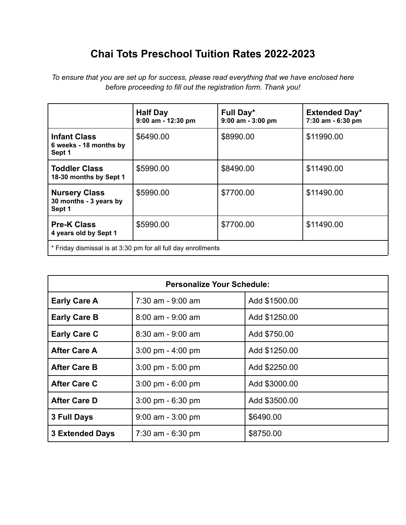## **Chai Tots Preschool Tuition Rates 2022-2023**

*To ensure that you are set up for success, please read everything that we have enclosed here before proceeding to fill out the registration form. Thank you!*

|                                                               | <b>Half Day</b><br>9:00 am - 12:30 pm | Full Day*<br>9:00 am - 3:00 pm | <b>Extended Day*</b><br>7:30 am - 6:30 pm |  |
|---------------------------------------------------------------|---------------------------------------|--------------------------------|-------------------------------------------|--|
| <b>Infant Class</b><br>6 weeks - 18 months by<br>Sept 1       | \$6490.00                             | \$8990.00                      | \$11990.00                                |  |
| <b>Toddler Class</b><br>18-30 months by Sept 1                | \$5990.00                             | \$8490.00                      | \$11490.00                                |  |
| <b>Nursery Class</b><br>30 months - 3 years by<br>Sept 1      | \$5990.00                             | \$7700.00                      | \$11490.00                                |  |
| <b>Pre-K Class</b><br>4 years old by Sept 1                   | \$5990.00                             | \$7700.00                      | \$11490.00                                |  |
| * Friday dismissal is at 3:30 pm for all full day enrollments |                                       |                                |                                           |  |

| <b>Personalize Your Schedule:</b> |                                     |               |  |
|-----------------------------------|-------------------------------------|---------------|--|
| <b>Early Care A</b>               | 7:30 am - 9:00 am                   | Add \$1500.00 |  |
| <b>Early Care B</b>               | $8:00$ am - 9:00 am                 | Add \$1250.00 |  |
| <b>Early Care C</b>               | $8:30$ am - $9:00$ am               | Add \$750.00  |  |
| <b>After Care A</b>               | $3.00 \text{ pm} - 4.00 \text{ pm}$ | Add \$1250.00 |  |
| <b>After Care B</b>               | $3.00 \text{ pm} - 5.00 \text{ pm}$ | Add \$2250.00 |  |
| <b>After Care C</b>               | $3:00 \text{ pm} - 6:00 \text{ pm}$ | Add \$3000.00 |  |
| <b>After Care D</b>               | $3.00 \text{ pm} - 6.30 \text{ pm}$ | Add \$3500.00 |  |
| 3 Full Days                       | $9:00$ am $-3:00$ pm                | \$6490.00     |  |
| <b>3 Extended Days</b>            | $7:30$ am $-6:30$ pm                | \$8750.00     |  |